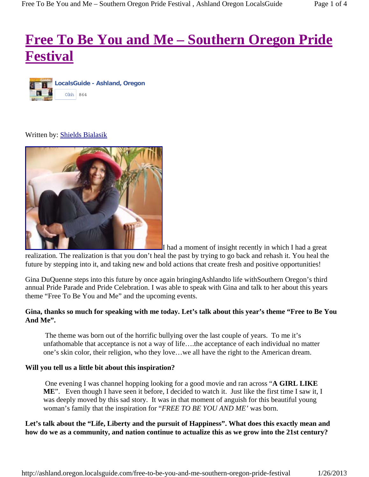# **Free To Be You and Me – Southern Oregon Pride Festival**



## Written by: Shields Bialasik



I had a moment of insight recently in which I had a great realization. The realization is that you don't heal the past by trying to go back and rehash it. You heal the future by stepping into it, and taking new and bold actions that create fresh and positive opportunities!

Gina DuQuenne steps into this future by once again bringingAshlandto life withSouthern Oregon's third annual Pride Parade and Pride Celebration. I was able to speak with Gina and talk to her about this years theme "Free To Be You and Me" and the upcoming events.

# **Gina, thanks so much for speaking with me today. Let's talk about this year's theme "Free to Be You And Me".**

The theme was born out of the horrific bullying over the last couple of years. To me it's unfathomable that acceptance is not a way of life….the acceptance of each individual no matter one's skin color, their religion, who they love…we all have the right to the American dream.

#### **Will you tell us a little bit about this inspiration?**

 One evening I was channel hopping looking for a good movie and ran across "**A GIRL LIKE ME**". Even though I have seen it before, I decided to watch it. Just like the first time I saw it, I was deeply moved by this sad story. It was in that moment of anguish for this beautiful young woman's family that the inspiration for "*FREE TO BE YOU AND ME'* was born.

# **Let's talk about the "Life, Liberty and the pursuit of Happiness". What does this exactly mean and how do we as a community, and nation continue to actualize this as we grow into the 21st century?**

http://ashland.oregon.localsguide.com/free-to-be-you-and-me-southern-oregon-pride-festival 1/26/2013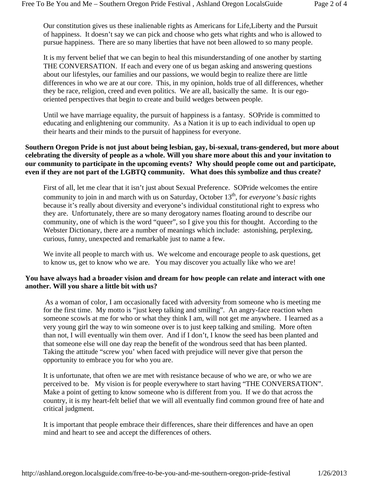Our constitution gives us these inalienable rights as Americans for Life,Liberty and the Pursuit of happiness. It doesn't say we can pick and choose who gets what rights and who is allowed to pursue happiness. There are so many liberties that have not been allowed to so many people.

It is my fervent belief that we can begin to heal this misunderstanding of one another by starting THE CONVERSATION. If each and every one of us began asking and answering questions about our lifestyles, our families and our passions, we would begin to realize there are little differences in who we are at our core. This, in my opinion, holds true of all differences, whether they be race, religion, creed and even politics. We are all, basically the same. It is our egooriented perspectives that begin to create and build wedges between people.

Until we have marriage equality, the pursuit of happiness is a fantasy. SOPride is committed to educating and enlightening our community. As a Nation it is up to each individual to open up their hearts and their minds to the pursuit of happiness for everyone.

## **Southern Oregon Pride is not just about being lesbian, gay, bi-sexual, trans-gendered, but more about celebrating the diversity of people as a whole. Will you share more about this and your invitation to our community to participate in the upcoming events? Why should people come out and participate, even if they are not part of the LGBTQ community. What does this symbolize and thus create?**

First of all, let me clear that it isn't just about Sexual Preference. SOPride welcomes the entire community to join in and march with us on Saturday, October 13<sup>th</sup>, for *everyone's basic* rights because it's really about diversity and everyone's individual constitutional right to express who they are. Unfortunately, there are so many derogatory names floating around to describe our community, one of which is the word "queer", so I give you this for thought. According to the Webster Dictionary, there are a number of meanings which include: astonishing, perplexing, curious, funny, unexpected and remarkable just to name a few.

We invite all people to march with us. We welcome and encourage people to ask questions, get to know us, get to know who we are. You may discover you actually like who we are!

## **You have always had a broader vision and dream for how people can relate and interact with one another. Will you share a little bit with us?**

 As a woman of color, I am occasionally faced with adversity from someone who is meeting me for the first time. My motto is "just keep talking and smiling". An angry-face reaction when someone scowls at me for who or what they think I am, will not get me anywhere. I learned as a very young girl the way to win someone over is to just keep talking and smiling. More often than not, I will eventually win them over. And if I don't, I know the seed has been planted and that someone else will one day reap the benefit of the wondrous seed that has been planted. Taking the attitude "screw you' when faced with prejudice will never give that person the opportunity to embrace you for who you are.

It is unfortunate, that often we are met with resistance because of who we are, or who we are perceived to be. My vision is for people everywhere to start having "THE CONVERSATION". Make a point of getting to know someone who is different from you. If we do that across the country, it is my heart-felt belief that we will all eventually find common ground free of hate and critical judgment.

It is important that people embrace their differences, share their differences and have an open mind and heart to see and accept the differences of others.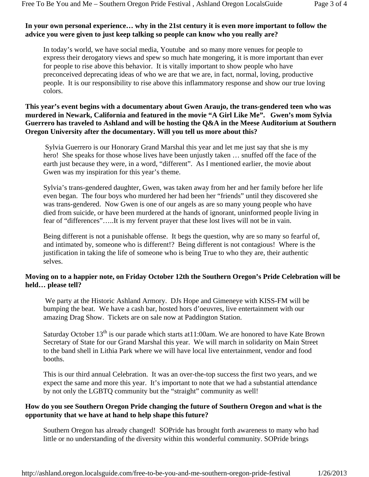# **In your own personal experience… why in the 21st century it is even more important to follow the advice you were given to just keep talking so people can know who you really are?**

In today's world, we have social media, Youtube and so many more venues for people to express their derogatory views and spew so much hate mongering, it is more important than ever for people to rise above this behavior. It is vitally important to show people who have preconceived deprecating ideas of who we are that we are, in fact, normal, loving, productive people. It is our responsibility to rise above this inflammatory response and show our true loving colors.

## **This year's event begins with a documentary about Gwen Araujo, the trans-gendered teen who was murdered in Newark, California and featured in the movie "A Girl Like Me". Gwen's mom Sylvia Guerrero has traveled to Ashland and will be hosting the Q&A in the Meese Auditorium at Southern Oregon University after the documentary. Will you tell us more about this?**

 Sylvia Guerrero is our Honorary Grand Marshal this year and let me just say that she is my hero! She speaks for those whose lives have been unjustly taken ... snuffed off the face of the earth just because they were, in a word, "different". As I mentioned earlier, the movie about Gwen was my inspiration for this year's theme.

Sylvia's trans-gendered daughter, Gwen, was taken away from her and her family before her life even began. The four boys who murdered her had been her "friends" until they discovered she was trans-gendered. Now Gwen is one of our angels as are so many young people who have died from suicide, or have been murdered at the hands of ignorant, uninformed people living in fear of "differences"…..It is my fervent prayer that these lost lives will not be in vain.

Being different is not a punishable offense. It begs the question, why are so many so fearful of, and intimated by, someone who is different!? Being different is not contagious! Where is the justification in taking the life of someone who is being True to who they are, their authentic selves.

# **Moving on to a happier note, on Friday October 12th the Southern Oregon's Pride Celebration will be held… please tell?**

We party at the Historic Ashland Armory. DJs Hope and Gimeneye with KISS-FM will be bumping the beat. We have a cash bar, hosted hors d'oeuvres, live entertainment with our amazing Drag Show. Tickets are on sale now at Paddington Station.

Saturday October  $13<sup>th</sup>$  is our parade which starts at 11:00am. We are honored to have Kate Brown Secretary of State for our Grand Marshal this year. We will march in solidarity on Main Street to the band shell in Lithia Park where we will have local live entertainment, vendor and food booths.

This is our third annual Celebration. It was an over-the-top success the first two years, and we expect the same and more this year. It's important to note that we had a substantial attendance by not only the LGBTQ community but the "straight" community as well!

# **How do you see Southern Oregon Pride changing the future of Southern Oregon and what is the opportunity that we have at hand to help shape this future?**

Southern Oregon has already changed! SOPride has brought forth awareness to many who had little or no understanding of the diversity within this wonderful community. SOPride brings